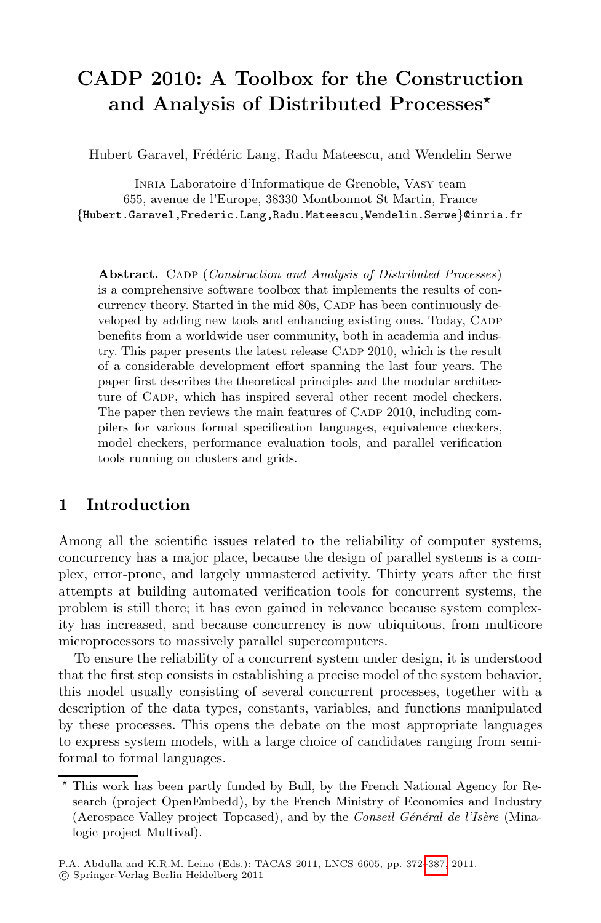# **CADP 2010: A Toolbox for the Construction and Analysis of Distributed Processes***-*

Hubert Garavel, Frédéric Lang, Radu Mateescu, and Wendelin Serwe

Inria Laboratoire d'Informatique de Grenoble, Vasy team 655, avenue de l'Europe, 38330 Montbonnot St Martin, France *{*Hubert.Garavel,Frederic.Lang,Radu.Mateescu,Wendelin.Serwe*}*@inria.fr

Abstract. CADP (*Construction and Analysis of Distributed Processes*) is a comprehensive software toolbox that implements the results of concurrency theory. Started in the mid 80s, CADP has been continuously developed by adding new tools and enhancing existing ones. Today, CADP benefits from a worldwide user community, both in academia and industry. This paper presents the latest release CADP 2010, which is the result of a considerable development effort spanning the last four years. The paper first describes the theoretical principles and the modular architecture of CADP, which has inspired several other recent model checkers. The paper then reviews the main features of CADP 2010, including compilers for various formal specification languages, equivalence checkers, model checkers, performance evaluation tools, and parallel verification tools running on clusters and grids.

## **1 Introduction**

Among all the scientific issues related to the reliability of computer systems, concurrency has a major place, because the design of parallel systems is a complex, error-prone, and largely unmastered activity. Thirty years after the first attempts at building automated verification tools for concurrent systems, the problem is still there; it has even gained in relevance because system complexity has increased, and because concurrency is now ubiquitous, from multicore microprocessors to massively parallel supercomputers.

To ensure the reliability of a concurrent system under design, it is understood that the first step consists in establishing a precise model of the system behavior, this model usually consisting of several concurrent processes, together with a description of the data types, constants, variables, and functions manipulated by these processes. This opens the debate on the most appropriate languages to express system models, with a large c[hoice](#page-15-0) of candidates ranging from semiformal to formal languages.

 $\star$  This work has been partly funded by Bull, by the French National Agency for Research (project OpenEmbedd), by the French Ministry of Economics and Industry (Aerospace Valley project Topcased), and by the *Conseil Général de l'Isère* (Minalogic project Multival).

P.A. Abdulla and K.R.M. Leino (Eds.): TACAS 2011, LNCS 6605, pp. 372–387, 2011. -c Springer-Verlag Berlin Heidelberg 2011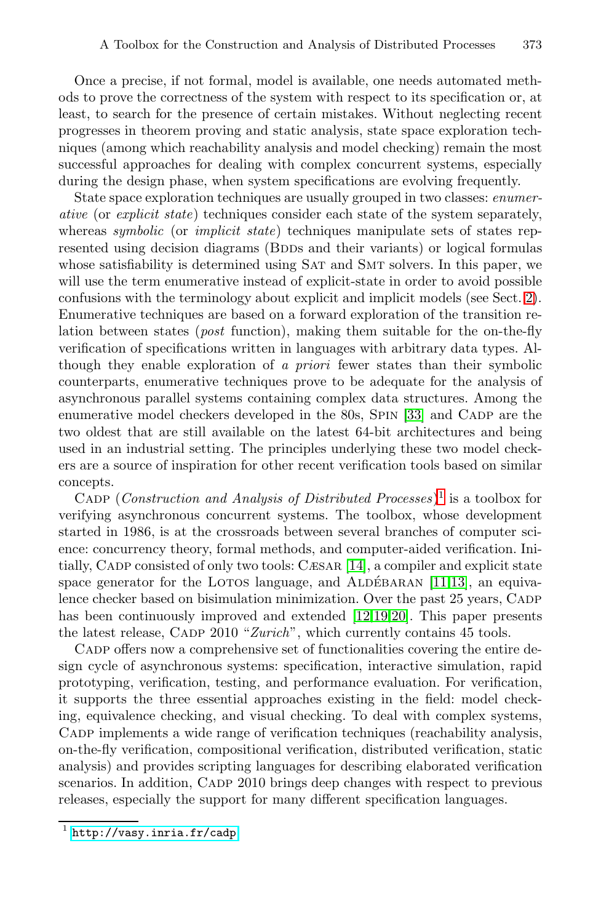Once a precise, if not formal, model is available, one needs automated methods to prove the correctness of the system with respect to its specification or, at least, to search for the presence of certain mistakes. Without neglecting recent progresses in theorem proving and static analysis, state space exploration techniques (among which reachability analysis and model checking) remain the most successful approaches for dealing with complex concurre[nt](#page-2-0) systems, especially during the design phase, when system specifications are evolving frequently.

State space exploration techniques are usually grouped in two classes: *enumerative* (or *explicit state*) techniques consider each state of the system separately, whereas *symbolic* (or *implicit state*) techniques manipulate sets of states represented using decision diagrams (BDDs and their variants) or logical formulas whose satisfiability is determined using SAT and SMT solvers. In this paper, we will use the term enumerative instead [of e](#page-14-0)xplicit-state in order to avoid possible confusions with the terminology about explicit and implicit models (see Sect. 2). Enumerative techniques are based on a forward exploration of the transition relation between states (*post* function), making them suitable for the on-the-fly verification of specifications written in languages with arbitrary data types. Although they enable exploration of *a prio[ri](#page-1-0)* fewer states than their symbolic counterparts, enumerative techniques prove to be adequate for the analysis of asynchronous parallel systems containing complex data structures. Among the enumerative model checkers developed in the 80s, SPIN [33] and CADP are the two oldest that are still ava[ilab](#page-13-0)le on the latest 64-bit architectures and being used in an industrial setting. The principl[es](#page-13-1) [und](#page-13-2)erlying these two model checkers are a source of inspiration for other recent verification tools based on similar concepts.

CADP (*Construction and [Ana](#page-13-3)[lys](#page-13-4)[is](#page-13-5) [o](#page-13-5)f Distributed Processes*)<sup>1</sup> is a toolbox for verifying asynchronous concurrent systems. The toolbox, whose development started in 1986, is at the crossroads between several branches of computer science: concurrency theory, formal methods, and computer-aided verification. Initially, CADP consisted of only two tools: CÆSAR [14], a compiler and explicit state space generator for the LOTOS language, and ALDÉBARAN  $[11,13]$ , an equivalence checker based on bisimulation minimization. Over the past 25 years, CADP has been continuously improved and extended [12,19,20]. This paper presents the latest release, Cadp 2010 "*Zurich*", which currently contains 45 tools.

<span id="page-1-0"></span>CADP offers now a comprehensive set of functionalities covering the entire design cycle of asynchronous systems: specification, interactive simulation, rapid prototyping, verification, testing, and performance evaluation. For verification, [it supports](http://vasy.inria.fr/cadp) the three essential approaches existing in the field: model checking, equivalence checking, and visual checking. To deal with complex systems, CADP implements a wide range of verification techniques (reachability analysis, on-the-fly verification, compositional verification, distributed verification, static analysis) and provides scripting languages for describing elaborated verification scenarios. In addition, CADP 2010 brings deep changes with respect to previous releases, especially the support for many different specification languages.

 $1$  http://vasy.inria.fr/cadp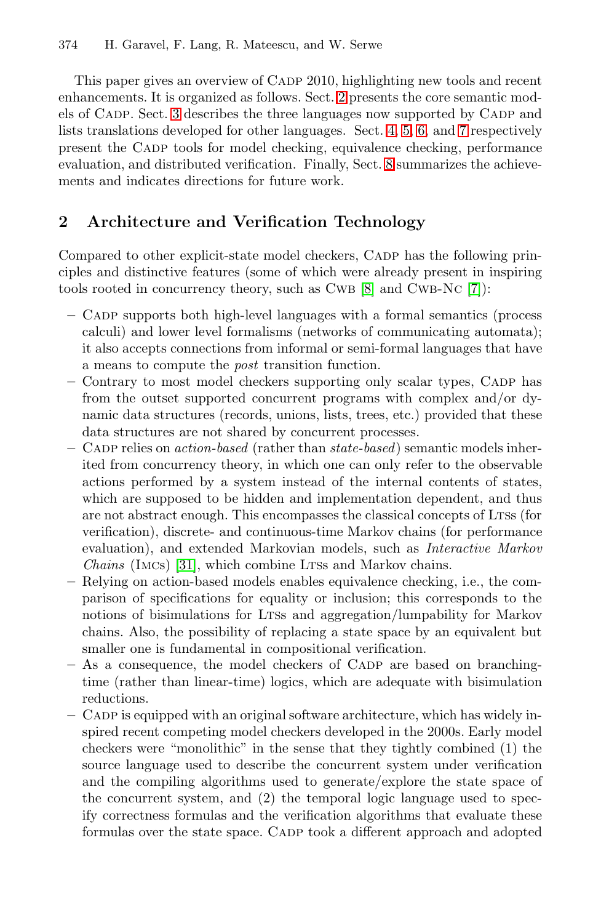<span id="page-2-0"></span>This paper gives an overview of CADP 2010, highlighting new tools and recent enhancements. It is organized as follows. Sect. 2 presents the core semantic models of Cadp. Sect. 3 describes the three languages now supported by Cadp and lists translations developed for other languages. Sect. 4, 5, 6, and 7 respectively present the Cadp tools for model checking, equivalence checking, performance evaluation, and distributed ver[ific](#page-13-6)ation. Finally, [Se](#page-13-7)ct. 8 summarizes the achievements and indicates directions for future work.

# **2 Architecture and Verification Technology**

Compared to other explicit-state model checkers, CADP has the following principles and distinctive features (some of which were already present in inspiring tools rooted in concurrency theory, such as Cwb  $[8]$  and Cwb-Nc  $[7]$ :

- **–** Cadp supports both high-level languages with a formal semantics (process calculi) and lower level formalisms (networks of communicating automata); it also accepts connections from informal or semi-formal languages that have a means to compute the *post* transition function.
- **–** Contrary to most model checkers supporting only scalar types, Cadp has from the outset supported concurrent programs with complex and/or dynamic data structures (records, unions, lists, trees, etc.) provided that these data structures are not shared by concurrent processes.
- **–** Cadp relies on *action-based* (rather than *state-based*) semantic models inherited from concurrency theory, in which one can only refer to the observable actions performed by a system instead of the internal contents of states, which are supposed to be hidden and implementation dependent, and thus are not abstract enough. This encompasses the classical concepts of Ltss (for verification), discrete- and continuous-time Markov chains (for performance evaluation), and extended Markovian models, such as *Interactive Markov Chains* (IMCs) [31], which combine LTSs and Markov chains.
- **–** Relying on action-based models enables equivalence checking, i.e., the comparison of specifications for equality or inclusion; this corresponds to the notions of bisimulations for Ltss and aggregation/lumpability for Markov chains. Also, the possibility of replacing a state space by an equivalent but smaller one is fundamental in compositional verification.
- **–** As a consequence, the model checkers of Cadp are based on branchingtime (rather than linear-time) logics, which are adequate with bisimulation reductions.
- **–** Cadp is equipped with an original software architecture, which has widely inspired recent competing model checkers developed in the 2000s. Early model checkers were "monolithic" in the sense that they tightly combined (1) the source language used to describe the concurrent system under verification and the compiling algorithms used to generate/explore the state space of the concurrent system, and (2) the temporal logic language used to specify correctness formulas and the verification algorithms that evaluate these formulas over the state space. CADP took a different approach and adopted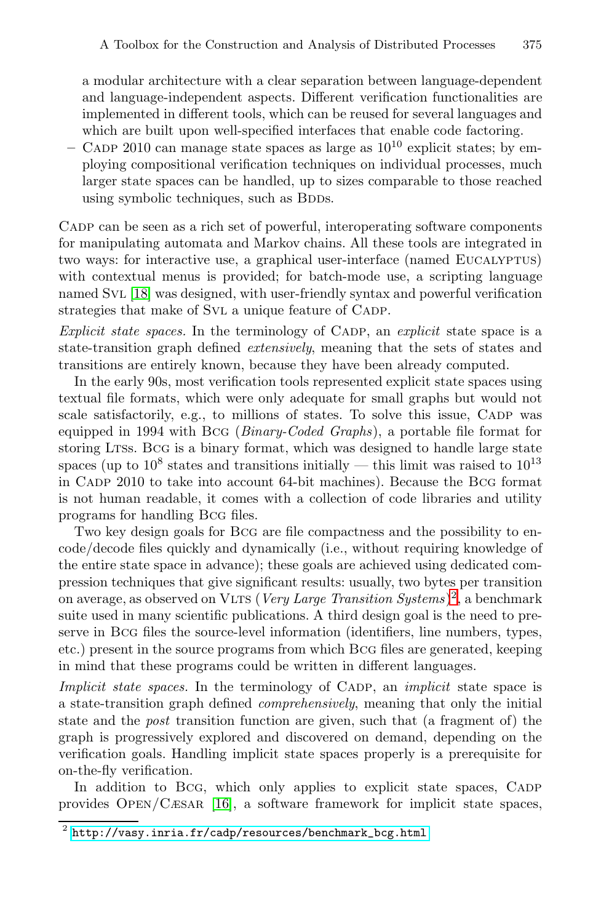a modular architecture with a clear separation between language-dependent and language-independent aspects. Different verification functionalities are implemented in different tools, which can be reused for several languages and which are built upon well-specified interfaces that enable code factoring.

 $-$  CADP 2010 can manage state spaces as large as  $10^{10}$  explicit states; by employing compositional verification techniques on individual processes, much larger state spaces can be handled, up to sizes comparable to those reached using symbolic techniques, such as BDDs.

CADP can be seen as a rich set of powerful, interoperating software components for manipulating automata and Markov chains. All these tools are integrated in two ways: for interactive use, a graphical user-interface (named Eucalyptus) with contextual menus is provided; for batch-mode use, a scripting language named SvL [18] was designed, with user-friendly syntax and powerful verification strategies that make of SVL a unique feature of CADP.

*Explicit state spaces.* In the terminology of CADP, an *explicit* state space is a state-transition graph defined *extensively*, meaning that the sets of states and transitions are entirely known, because they have been already computed.

In the early 90s, most verification tools represented explicit state spaces using textual file formats, which were only adequate for small graphs but would not scale satisfactorily, e.g., to millions of states. To solve this issue, CADP was equipped in 1994 with Bcg (*Binary-Coded Graphs*), a portable file format for storing LTss. BCG is a binary format, which was designed to handle large state spaces (up to  $10^8$  states and transitions initia[ll](#page-3-0)y — this limit was raised to  $10^{13}$ in Cadp 2010 to take into account 64-bit machines). Because the Bcg format is not human readable, it comes with a collection of code libraries and utility programs for handling Bcg files.

Two key design goals for Bcg are file compactness and the possibility to encode/decode files quickly and dynamically (i.e., without requiring knowledge of the entire state space in advance); these goals are achieved using dedicated compression techniques that give significant results: usually, two bytes per transition on average, as observed on Vlts (*Very Large Transition Systems*)<sup>2</sup>, a benchmark suite used in many scientific publications. A third design goal is the need to preserve in Bcg files the source-level information (identifiers, line numbers, types, etc.) present in the source programs from which Bcg files are generated, keeping in min[d t](#page-13-8)hat these programs could be written in different languages.

<span id="page-3-0"></span>*Implicit state spaces.* In the terminology of CADP, an *implicit* state space is [a state-transition graph defined](http://vasy.inria.fr/cadp/resources/benchmark_bcg.html) *comprehensively*, meaning that only the initial state and the *post* transition function are given, such that (a fragment of) the graph is progressively explored and discovered on demand, depending on the verification goals. Handling implicit state spaces properly is a prerequisite for on-the-fly verification.

In addition to BcG, which only applies to explicit state spaces, CADP provides Open/Cæsar [16], a software framework for implicit state spaces,

 $^{2}$  http://vasy.inria.fr/cadp/resources/benchmark\_bcg.html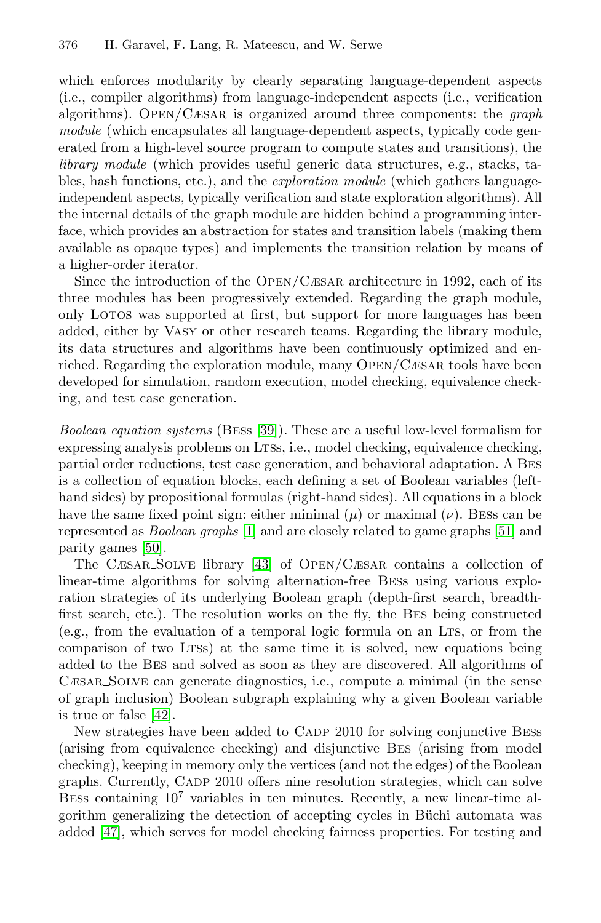which enforces modularity by clearly separating language-dependent aspects (i.e., compiler algorithms) from language-independent aspects (i.e., verification algorithms). Open/Cæsar is organized around three components: the *graph module* (which encapsulates all language-dependent aspects, typically code generated from a high-level source program to compute states and transitions), the *library module* (which provides useful generic data structures, e.g., stacks, tables, hash functions, etc.), and the *exploration module* (which gathers languageindependent aspects, typically verification and state exploration algorithms). All the internal details of the graph module are hidden behind a programming interface, which provides an abstraction for states and transition labels (making them available as opaque types) and implements the transition relation by means of a higher-order iterator.

Since the introduction of the OPEN/CÆSAR architecture in 1992, each of its three module[s ha](#page-14-1)s been progressively extended. Regarding the graph module, only Lotos was supported at first, but support for more languages has been added, either by Vasy or other research teams. Regarding the library module, its data structures and algorithms have been continuously optimized and enriched. Regarding the exploration module, many Open/Cæsar tools have been developed for simulation, random execution, model checking, equivalence checking, and te[st](#page-12-1) case generation.

*Boolean equa[tion](#page-14-2) systems* (Bess [39])*.* These are a useful low-level formalism for expressing analysis problems on LTSs, i.e., model checking, equivalence checking, partial order reductions, test case generation, and behavioral adaptation. A Bes is a collection of equation blocks, each defining a set of Boolean variables (lefthand sides) by propositional formulas (right-hand sides). All equations in a block have the same fixed point sign: either minimal  $(\mu)$  or maximal  $(\nu)$ . Bess can be represented as *Boolean graphs* [1] and are closely related to game graphs [51] and parity games [50].

The Cæsar Solve library [43] of Open/Cæsar contains a collection of linear-time algorithms for solving alternation-free Bess using various exploration strategies of its underlying Boolean graph (depth-first search, breadthfirst search, etc.). The resolution works on the fly, the Bes being constructed (e.g., from the evaluation of a temporal logic formula on an Lts, or from the comparison of two LTSs) at the same time it is solved, new equations being added to the Bes and solved as soon as they are discovered. All algorithms of Cæsar Solve can generate diagnostics, i.e., compute a minimal (in the sense of graph inclusion) Boolean subgraph explaining why a given Boolean variable is true or false [42].

New strategies have been added to CADP 2010 for solving conjunctive BESS (arising from equivalence checking) and disjunctive Bes (arising from model checking), keeping in memory only the vertices (and not the edges) of the Boolean graphs. Currently, CADP 2010 offers nine resolution strategies, which can solve BESS containing  $10^7$  variables in ten minutes. Recently, a new linear-time algorithm generalizing the detection of accepting cycles in Büchi automata was added [47], which serves for model checking fairness properties. For testing and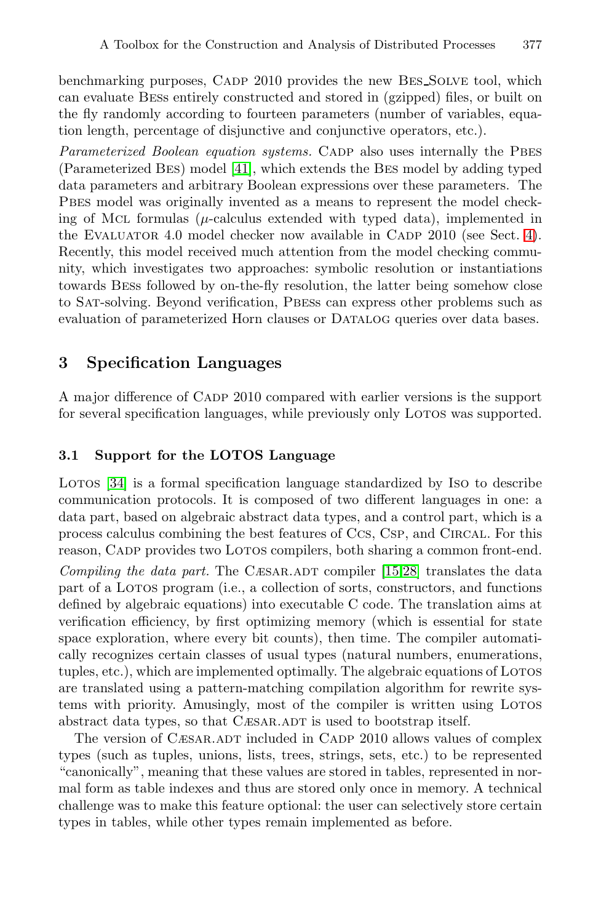benchmarking purposes, CADP 2010 provides the new BES\_SOLVE tool, which can evaluate Bess entirely constructed and stored in (gzipped) files, or built on the fly randomly according to fourteen parameters (num[be](#page-8-0)r of variables, equation length, percentage of disjunctive and conjunctive operators, etc.).

*Parameterized Boolean equation systems.* CADP also uses internally the PBES (Parameterized Bes) model [41], which extends the Bes model by adding typed data parameters and arbitrary Boolean expressions over these parameters. The Pbes model was originally invented as a means to represent the model checking of McL formulas ( $\mu$ -calculus extended with typed data), implemented in the EVALUATOR 4.0 model checker now available in CADP  $2010$  (see Sect. 4). Recently, this model received much attention from the model checking community, which investigates two approaches: symbolic resolution or instantiations towards Bess followed by on-the-fly resolution, the latter being somehow close to Sat-solving. Beyond verification, Pbess can express other problems such as evaluation of parameterized Horn clauses or Datalog queries over data bases.

## **3 Specification Languages**

A major difference of Cadp 2010 compared with earlier versions is the support for several specification languages, while previously only LOTOS was supported.

### **3.1 Support for the LOTOS Language**

Lotos [34] is a formal specification language standardized by Iso to describe communication protocols. It is composed of two different languages in one: a data part, based on algebraic abstract data types, and a control part, which is a process calculus combining the best features of Ccs, Csp, and Circal. For this reason, CADP provides two LOTOS compilers, both sharing a common front-end.

*Compiling the data part.* The C*ESAR.ADT* compiler [15,28] translates the data part of a Lotos program (i.e., a collection of sorts, constructors, and functions defined by algebraic equations) into executable C code. The translation aims at verification efficiency, by first optimizing memory (which is essential for state space exploration, where every bit counts), then time. The compiler automatically recognizes certain classes of usual types (natural numbers, enumerations, tuples, etc.), which are implemented optimally. The algebraic equations of LOTOS are translated using a pattern-matching compilation algorithm for rewrite systems with priority. Amusingly, most of the compiler is written using LOTOS abstract data types, so that CÆSAR.ADT is used to bootstrap itself.

The version of CÆSAR.ADT included in CADP 2010 allows values of complex types (such as tuples, unions, lists, trees, strings, sets, etc.) to be represented "canonically", meaning that these values are stored in tables, represented in normal form as table indexes and thus are stored only once in memory. A technical challenge was to make this feature optional: the user can selectively store certain types in tables, while other types remain implemented as before.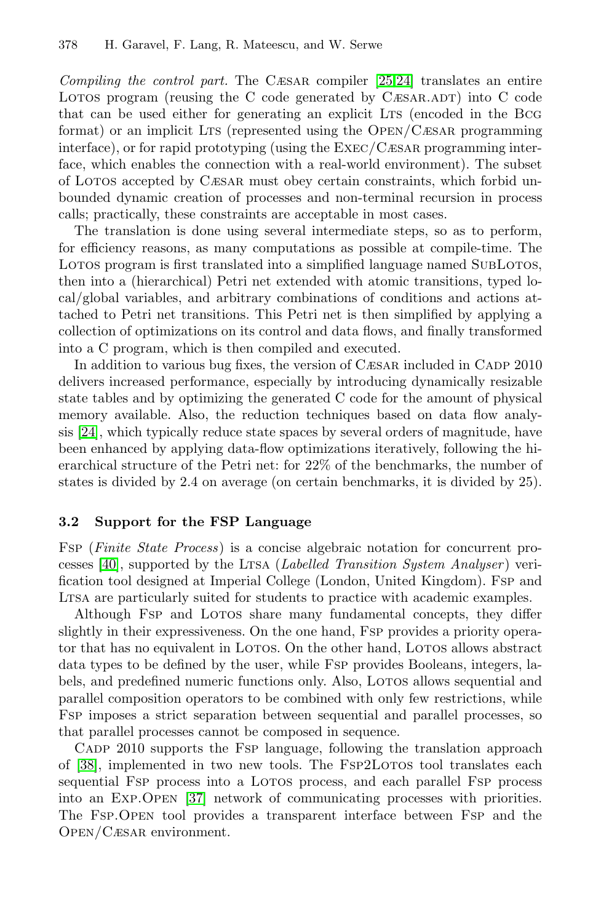*Compiling the control part.* The C*ESAR* compiler [25,24] translates an entire LOTOS program (reusing the C code generated by  $C$ ÆSAR.ADT) into C code that can be used either for generating an explicit Lts (encoded in the BcG format) or an implicit LTS (represented using the OPEN/CÆSAR programming interface), or for rapid prototyping (using the Exec/Cæsar programming interface, which enables the connection with a real-world environment). The subset of Lotos accepted by Cæsar must obey certain constraints, which forbid unbounded dynamic creation of processes and non-terminal recursion in process calls; practically, these constraints are acceptable in most cases.

The translation is done using several intermediate steps, so as to perform, for efficiency reasons, as many computations as possible at compile-time. The Lotos program is first translated into a simplified language named SUBLOTOS, then into a (hierarchical) Petri net extended with atomic transitions, typed local/global variables, and arbitrary combinations of conditions and actions attached to Petri net transitions. This Petri net is then simplified by applying a collection of optimizations on its control and data flows, and finally transformed into a C program, which is then compiled and executed.

In addition to various bug fixes, the version of CÆSAR included in CADP 2010 delivers increased performance, especially by introducing dynamically resizable state tables and by optimizing the generated C code for the amount of physical memory available. Also, the reduction techniques based on data flow analysis [24], which typically reduce state spaces by several orders of magnitude, have been enhanced by applying data-flow optimizations iteratively, following the hierarchical structure of the Petri net: for 22% of the benchmarks, the number of states is divided by 2.4 on average (on certain benchmarks, it is divided by 25).

# **3.2 Support for the FSP Language**

Fsp (*Finite State Process*) is a concise algebraic notation for concurrent processes [40], supported by the Ltsa (*Labelled Transition System Analyser* ) verification tool designed at Imperial College (London, United Kingdom). Fsp and LTSA are particularly suited for students to practice with academic examples.

Although Fsp and LOTOS share many fundamental concepts, they differ slightly in their expressiveness. On the one hand, FSP provides a priority operator that has no equivalent in LOTOS. On the other hand, LOTOS allows abstract d[ata](#page-14-4) types to be defined by the user, while Fsp provides Booleans, integers, labels, and predefined numeric functions only. Also, LOTOS allows sequential and parallel composition operators to be combined with only few restrictions, while Fsp imposes a strict separation between sequential and parallel processes, so that parallel processes cannot be composed in sequence.

CADP 2010 supports the FSP language, following the translation approach of [38], implemented in two new tools. The Fsp2Loros tool translates each sequential Fsp process into a LOTOS process, and each parallel Fsp process into an Exp.Open [37] network of communicating processes with priorities. The Fsp.Open tool provides a transparent interface between Fsp and the Open/Cæsar environment.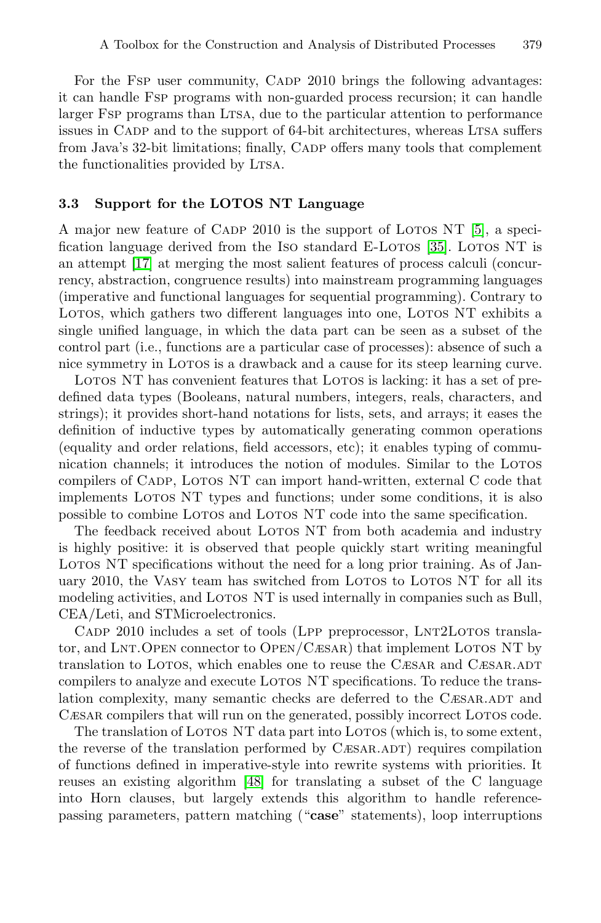For the FSP user community, CADP 2010 brings the following advantages: it can handle Fsp programs with non-guarded p[ro](#page-13-9)cess recursion; it can handle larger FSP programs than LTSA, due to t[he p](#page-14-5)articular attention to performance issues in CADP and to the support of 64-bit architectures, whereas LTSA suffers from Java's 32-bit limitations; finally, CADP offers many tools that complement the functionalities provided by LTSA.

#### $3.3$ **3.3 Support for the LOTOS NT Language**

A major new feature of CADP 2010 is the support of LOTOS NT [5], a specification language derived from the Iso standard E-Loros [35]. Loros NT is an attempt [17] at merging the most salient features of process calculi (concurrency, abstraction, congruence results) into mainstream programming languages (imperative and functional languages for sequential programming). Contrary to Lotos, which gathers two different languages into one, Lotos NT exhibits a single unified language, in which the data part can be seen as a subset of the control part (i.e., functions are a particular case of processes): absence of such a nice symmetry in LOTOS is a drawback and a cause for its steep learning curve.

Lotos NT has convenient features that Lotos is lacking: it has a set of predefined data types (Booleans, natural numbers, integers, reals, characters, and strings); it provides short-hand notations for lists, sets, and arrays; it eases the definition of inductive types by automatically generating common operations (equality and order relations, field accessors, etc); it enables typing of communication channels; it introduces the notion of modules. Similar to the LOTOS compilers of CADP, LOTOS NT can import hand-written, external C code that implements LOTOS NT types and functions; under some conditions, it is also possible to combine LOTOS and LOTOS NT code into the same specification.

The feedback received about LOTOS NT from both academia and industry is highly positive: it is observed that people quickly start writing meaningful LOTOS NT specifications without the need for a long prior training. As of January 2010, the VASY team has switched from LOTOS to LOTOS NT for all its modeling activities, and LOTOS NT is used internally in companies such as Bull, CEA/Leti, and STMicroelectronics.

CADP 2010 includes a set of tools (LPP preprocessor, LNT2LOTOS translator, and LNT. OPEN connector to OPEN/CÆSAR) that implement LOTOS NT by translation to LOTOS, which enables one to reuse the CÆSAR and CÆSAR.ADT compilers to analyze and execute LOTOS NT specifications. To reduce the translation complexity, many semantic checks are deferred to the CÆSAR.ADT and CÆSAR compilers that will run on the generated, possibly incorrect LOTOS code.

The translation of LOTOS NT data part into LOTOS (which is, to some extent, the reverse of the translation performed by CÆSAR.ADT) requires compilation of functions defined in imperative-style into rewrite systems with priorities. It reuses an existing algorithm [48] for translating a subset of the C language into Horn clauses, but largely extends this algorithm to handle referencepassing parameters, pattern matching ("**case**" statements), loop interruptions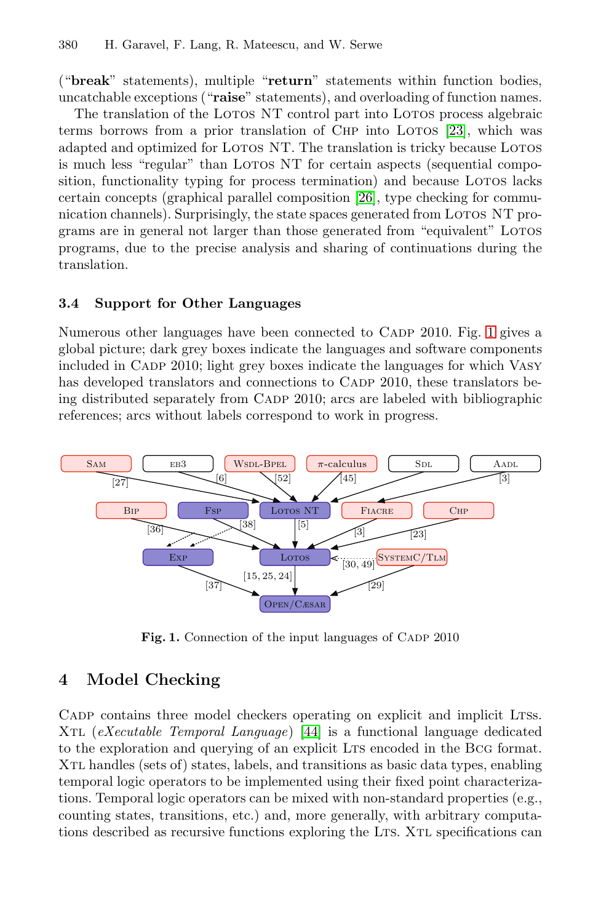("**break**" statements), multi[ple](#page-14-6) "**return**" statements within function bodies, uncatchable exceptions ("**raise**" statements), and overloading of function names.

The translation of the LOTOS NT control part into LOTOS process algebraic terms borrows from a prior translation of CHP into LOTOS [23], which was adapted and optimized for LOTOS NT. The translation is tricky because LOTOS is much less "regular" than LOTOS NT for certain aspects (sequential composition, functionality typing for process termination) and because LOTOS lacks certain concepts (graphical parallel composition [2[6\],](#page-8-1) type checking for communication channels). Surprisingly, the state spaces generated from LOTOS NT programs are in general not larger than those generated from "equivalent" LOTOS programs, due to the precise analysis and sharing of continuations during the translation.

# **3.4 Support for Other Languages**

Numerous other languages have been connected to CADP 2010. Fig. 1 gives a global picture; dark grey boxes indicate the languages and software components included in CADP 2010; light grey boxes indicate the languages for which VASY has developed translators and connections to CADP 2010, these translators being distributed separately from CADP 2010; arcs are labeled with bibliographic references; arcs without labels correspond to work in progress.

<span id="page-8-1"></span><span id="page-8-0"></span>

**Fig. 1.** Connection of the input languages of CADP 2010

## **4 Model Checking**

CADP contains three model checkers operating on explicit and implicit LTSs. Xtl (*eXecutable Temporal Language*) [44] is a functional language dedicated to the exploration and querying of an explicit LTS encoded in the BCG format. XTL handles (sets of) states, labels, and transitions as basic data types, enabling temporal logic operators to be implemented using their fixed point characterizations. Temporal logic operators can be mixed with non-standard properties (e.g., counting states, transitions, etc.) and, more generally, with arbitrary computations described as recursive functions exploring the LTS. XTL specifications can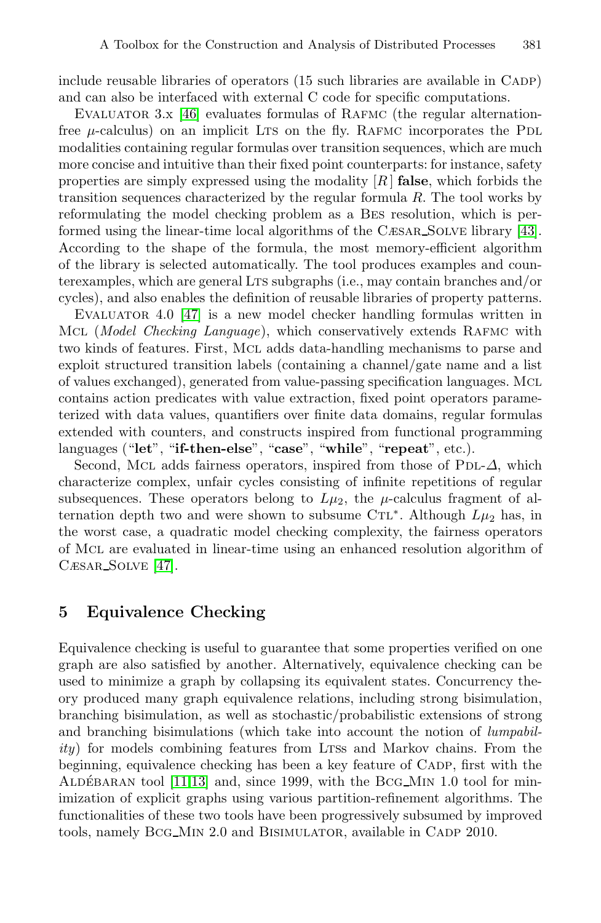include reusable libraries of operators (15 such libraries are available in CADP) and can also be interfaced with external C code for spec[ific](#page-14-2) computations.

EVALUATOR 3.x [46] evaluates formulas of RAFMC (the regular alternationfree  $\mu$ -calculus) on an implicit LTS on the fly. RAFMC incorporates the PDL modalities containing regular formulas over transition sequences, which are much more concise and intuitive than their fixed point counterparts: for instance, safety p[rop](#page-15-2)erties are simply expressed using the modality  $[R]$  **false**, which forbids the transition sequences characterized by the regular formula  $R$ . The tool works by reformulating the model checking problem as a Bes resolution, which is performed using the linear-time local algorithms of the Cæsar Solve library [43]. According to the shape of the formula, the most memory-efficient algorithm of the library is selected automatically. The tool produces examples and counterexamples, which are general LTS subgraphs (i.e., may contain branches and/or cycles), and also enables the definition of reusable libraries of property patterns.

Evaluator 4.0 [47] is a new model checker handling formulas written in McL (*Model Checking Language*), which conservatively extends RAFMC with two kinds of features. First, Mcl adds data-handling mechanisms to parse and exploit structured transition labels (containing a channel/gate name and a list of values exchanged), generated from value-passing specification languages. Mcl contains action predicates with value extraction, fixed point operators parameterized with data values, quantifiers over finite data domains, regular formulas extended with counters, and constructs inspired from functional programming languages ("**let**", "**if-then-else**", "**case**", "**while**", "**repeat**", etc.).

Second, McL adds fairness operators, inspired from those of PDL- $\Delta$ , which characterize complex, unfair cycles consisting of infinite repetitions of regular subsequences. These operators belong to  $L\mu_2$ , the  $\mu$ -calculus fragment of alternation depth two and were shown to subsume CTL<sup>∗</sup>. Although  $L\mu_2$  has, in the worst case, a quadratic model checking complexity, the fairness operators of Mcl are evaluated in linear-time using an enhanced resolution algorithm of Cæsar Solve [47].

## **5 Equivalence Checking**

[Eq](#page-13-1)[uiv](#page-13-2)alence checking is useful to guarantee that some properties verified on one graph are also satisfied by another. Alternatively, equivalence checking can be used to minimize a graph by collapsing its equivalent states. Concurrency theory produced many graph equivalence relations, including strong bisimulation, branching bisimulation, as well as stochastic/probabilistic extensions of strong and branching bisimulations (which take into account the notion of *lumpability*) for models combining features from LTSs and Markov chains. From the beginning, equivalence checking has been a key feature of CADP, first with the ALDÉBARAN tool [11,13] and, since 1999, with the BCG\_MIN 1.0 tool for minimization of explicit graphs using various partition-refinement algorithms. The functionalities of these two tools have been progressively subsumed by improved tools, namely BCG\_MIN 2.0 and BISIMULATOR, available in CADP 2010.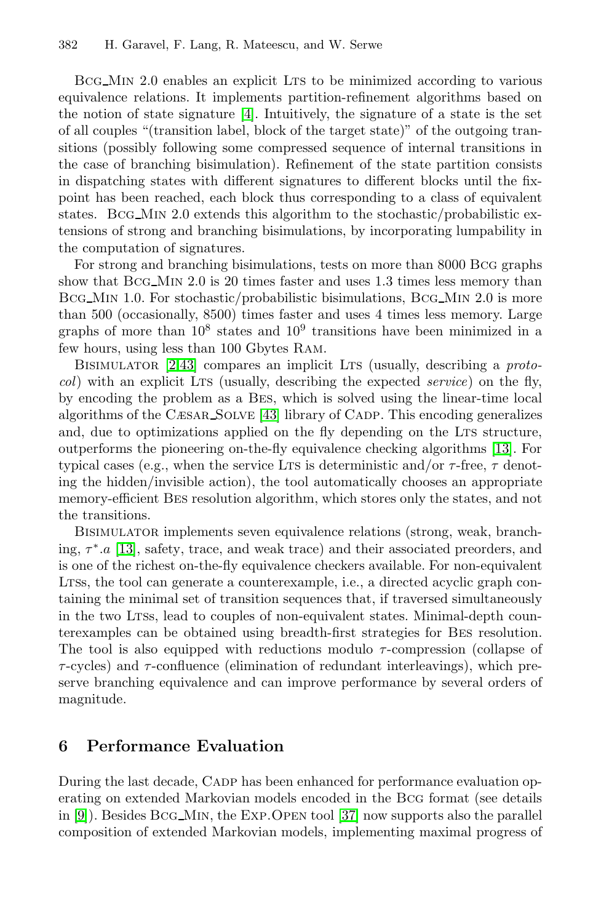Bcg M<sub>IN</sub> 2.0 enables an explicit LTs to be minimized according to various equivalence relations. It implements partition-refinement algorithms based on the notion of state signature [4]. Intuitively, the signature of a state is the set of all couples "(transition label, block of the target state)" of the outgoing transitions (possibly following some compressed sequence of internal transitions in the case of branching bisimulation). Refinement of the state partition consists in dispatching states with different signatures to different blocks until the fixpoint has been reached, each block thus corresponding to a class of equivalent states. Bcg Min 2.0 extends this algorithm to the stochastic/probabilistic ex[t](#page-12-2)[ens](#page-14-2)ions of strong and branching bisimulations, by incorporating lumpability in the computation of signatures.

For strong and branching bisimulations, tests on more than 8000 Bcg graphs show that Bcg [M](#page-14-2)in 2.0 is 20 times faster and uses 1.3 times less memory than Bcg Min 1.0. For stochastic/probabilistic bisimulations, Bcg Min 2.0 is more than 500 (occasionally, 8500) times faster and uses [4 ti](#page-13-2)mes less memory. Large graphs of more than  $10^8$  states and  $10^9$  transitions have been minimized in a few hours, using less than 100 Gbytes Ram.

BISIMULATOR [2,43] compares an implicit LTS (usually, describing a *protocol*) with an explicit Lts (usually, describing the expected *service*) on the fly, by encoding the problem as a Bes, which is solved using the linear-time local algorithms of the Cæsar Solve [43] library of Cadp. This encoding generalizes and, due to optimizations applied on the fly depending on the LTS structure, outperforms the pioneering on-the-fly equivalence checking algorithms [13]. For typical cases (e.g., when the service LTs is deterministic and/or  $\tau$ -free,  $\tau$  denoting the hidden/invisible action), the tool automatically chooses an appropriate memory-efficient Bes resolution algorithm, which stores only the states, and not the transitions.

Bisimulator implements seven equivalence relations (strong, weak, branching,  $\tau^*$ .a [13], safety, trace, and weak trace) and their associated preorders, and is one of the richest on-the-fly equivalence checkers available. For non-equivalent LTSs, the tool can generate a counterexample, i.e., a directed acyclic graph containing the minimal set of transition sequences that, if traversed simultaneously in the two LTSs, lead to couples of non-equivalent states. Minimal-depth counterexamples can be obtained using breadth-first strategies for Bes resolution. The tool is also equipped with reductions modulo  $\tau$ -compression (collapse of  $\tau$ -cycles) and  $\tau$ -confluence (elimination of redundant interleavings), which preserve branching equivalenc[e an](#page-14-4)d can improve performance by several orders of magnitude.

### **6 Performance Evaluation**

During the last decade, CADP has been enhanced for performance evaluation operating on extended Markovian models encoded in the Bcg format (see details in [9]). Besides Bcg Min, the Exp.Open tool [37] now supports also the parallel composition of extended Markovian models, implementing maximal progress of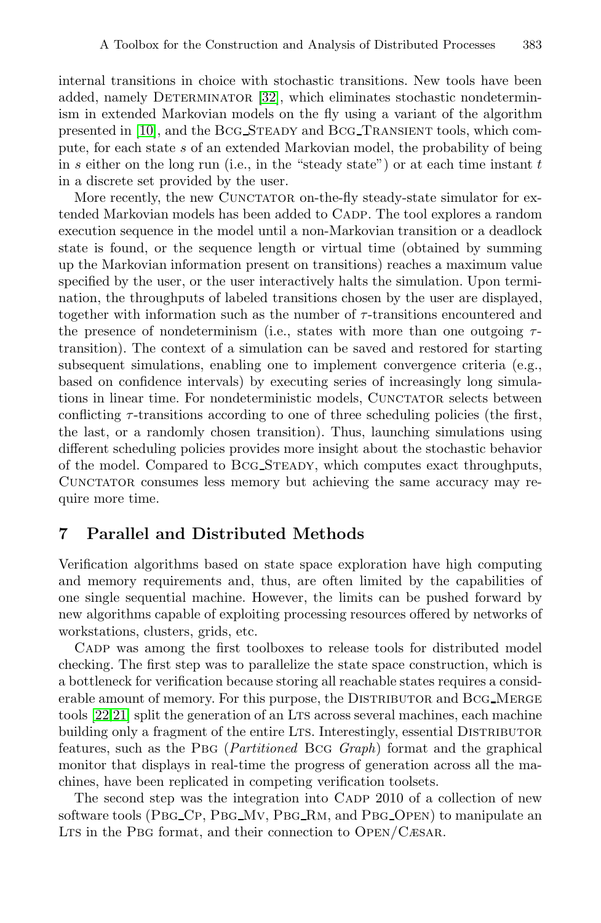internal transitions in choice with stochastic transitions. New tools have been added, namely DETERMINATOR [32], which eliminates stochastic nondeterminism in extended Markovian models on the fly using a variant of the algorithm presented in [10], and the Bcg Steady and Bcg Transient tools, which compute, for each state s of an extended Markovian model, the probability of being in s either on the long run (i.e., in the "steady state") or at each time instant  $t$ in a discrete set provided by the user.

More recently, the new CUNCTATOR on-the-fly steady-state simulator for extended Markovian models has been added to CADP. The tool explores a random execution sequence in the model until a non-Markovian transition or a deadlock state is found, or the sequence length or virtual time (obtained by summing up the Markovian information present on transitions) reaches a maximum value specified by the user, or the user interactively halts the simulation. Upon termination, the throughputs of labeled transitions chosen by the user are displayed, together with information such as the number of τ-transitions encountered and the presence of nondeterminism (i.e., states with more than one outgoing  $\tau$ transition). The context of a simulation can be saved and restored for starting subsequent simulations, enabling one to implement convergence criteria (e.g., based on confidence intervals) by executing series of increasingly long simulations in linear time. For nondeterministic models, CUNCTATOR selects between conflicting  $\tau$ -transitions according to one of three scheduling policies (the first, the last, or a randomly chosen transition). Thus, launching simulations using different scheduling policies provides more insight about the stochastic behavior of the model. Compared to Bcg Steady, which computes exact throughputs, Cunctator consumes less memory but achieving the same accuracy may require more time.

## **7 Parallel and Distributed Methods**

Verification algorithms based on state space exploration have high computing and memory requirements and, thus, are often limited by the capabilities of one single sequential machine. However, the limits can be pushed forward by new algorithms capable of exploiting processing resources offered by networks of workstations, clusters, grids, etc.

CADP was among the first toolboxes to release tools for distributed model checking. The first step was to parallelize the state space construction, which is a bottleneck for verification because storing all reachable states requires a considerable amount of memory. For this purpose, the DISTRIBUTOR and BCG\_MERGE tools  $[22,21]$  split the generation of an LTS across several machines, each machine building only a fragment of the entire LTS. Interestingly, essential DISTRIBUTOR features, such as the Pbg (*Partitioned* Bcg *Graph*) format and the graphical monitor that displays in real-time the progress of generation across all the machines, have been replicated in competing verification toolsets.

The second step was the integration into CADP 2010 of a collection of new software tools (PBG\_CP, PBG\_MV, PBG\_RM, and PBG\_OPEN) to manipulate an LTS in the PBG format, and their connection to OPEN/CÆSAR.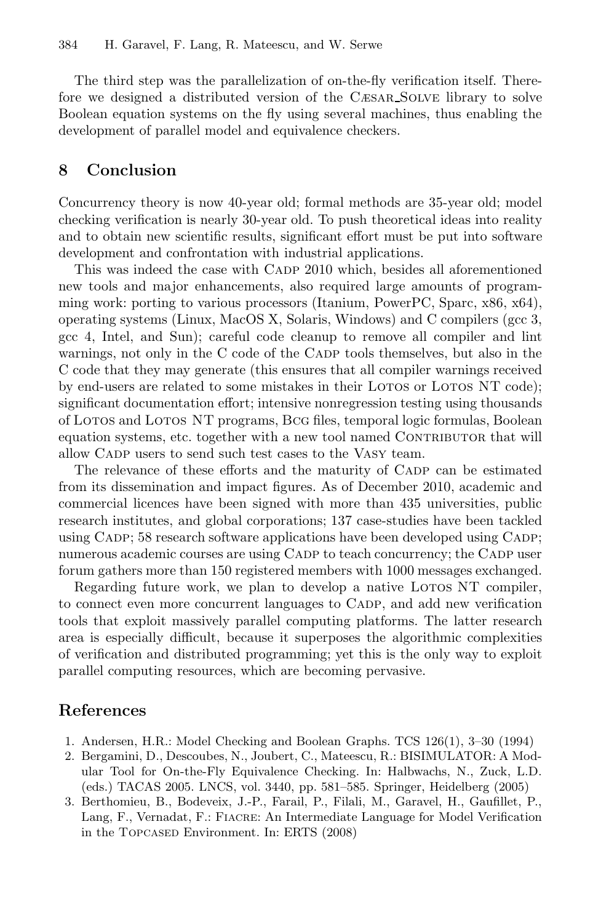The third step was the parallelization of on-the-fly verification itself. Therefore we designed a distributed version of the Cæsar Solve library to solve Boolean equation systems on the fly using several machines, thus enabling the development of parallel model and equivalence checkers.

## <span id="page-12-0"></span>**8 Conclusion**

Concurrency theory is now 40-year old; formal methods are 35-year old; model checking verification is nearly 30-year old. To push theoretical ideas into reality and to obtain new scientific results, significant effort must be put into software development and confrontation with industrial applications.

This was indeed the case with CADP 2010 which, besides all aforementioned new tools and major enhancements, also required large amounts of programming work: porting to various processors (Itanium, PowerPC, Sparc, x86, x64), operating systems (Linux, MacOS X, Solaris, Windows) and C compilers (gcc 3, gcc 4, Intel, and Sun); careful code cleanup to remove all compiler and lint warnings, not only in the C code of the CADP tools themselves, but also in the C code that they may generate (this ensures that all compiler warnings received by end-users are related to some mistakes in their LOTOS or LOTOS NT code); significant documentation effort; intensive nonregression testing using thousands of Lotos and Lotos NT programs, Bcg files, temporal logic formulas, Boolean equation systems, etc. together with a new tool named CONTRIBUTOR that will allow CADP users to send such test cases to the VASY team.

The relevance of these efforts and the maturity of CADP can be estimated from its dissemination and impact figures. As of December 2010, academic and commercial licences have been signed with more than 435 universities, public research institutes, and global corporations; 137 case-studies have been tackled using CADP; 58 research software applications have been developed using CADP; numerous academic courses are using CADP to teach concurrency; the CADP user forum gathers more than 150 registered members with 1000 messages exchanged.

Regarding future work, we plan to develop a native LOTOS NT compiler, to connect even more concurrent languages to Cadp, and add new verification tools that exploit massively parallel computing platforms. The latter research area is especially difficult, because it superposes the algorithmic complexities of verification and distributed programming; yet this is the only way to exploit parallel computing resources, which are becoming pervasive.

## **References**

- <span id="page-12-2"></span><span id="page-12-1"></span>1. Andersen, H.R.: Model Checking and Boolean Graphs. TCS 126(1), 3–30 (1994)
- 2. Bergamini, D., Descoubes, N., Joubert, C., Mateescu, R.: BISIMULATOR: A Modular Tool for On-the-Fly Equivalence Checking. In: Halbwachs, N., Zuck, L.D. (eds.) TACAS 2005. LNCS, vol. 3440, pp. 581–585. Springer, Heidelberg (2005)
- 3. Berthomieu, B., Bodeveix, J.-P., Farail, P., Filali, M., Garavel, H., Gaufillet, P., Lang, F., Vernadat, F.: FIACRE: An Intermediate Language for Model Verification in the Topcased Environment. In: ERTS (2008)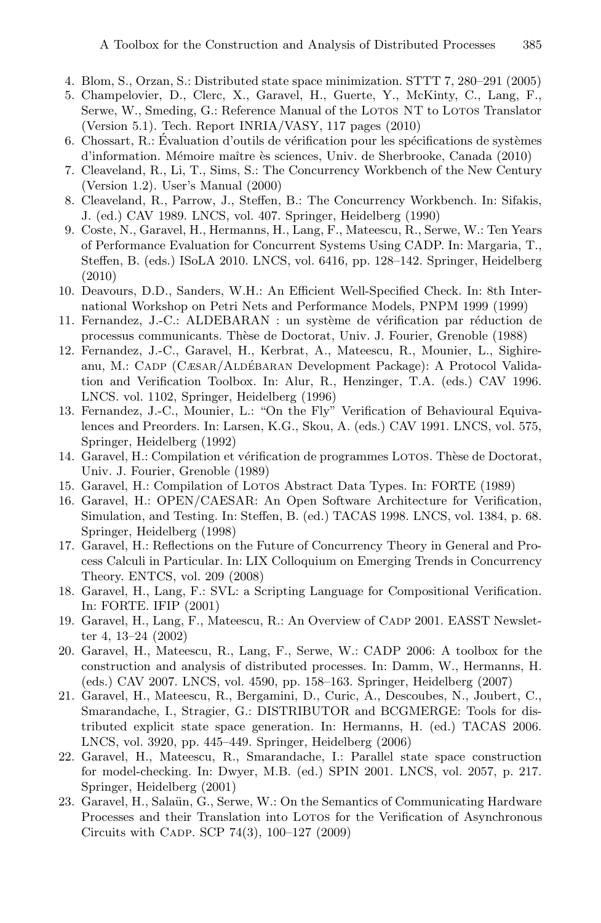- <span id="page-13-9"></span>4. Blom, S., Orzan, S.: Distributed state space minimization. STTT 7, 280–291 (2005)
- 5. Champelovier, D., Clerc, X., Garavel, H., Guerte, Y., McKinty, C., Lang, F., Serwe, W., Smeding, G.: Reference Manual of the LOTOS NT to LOTOS Translator (Version 5.1). Tech. Report INRIA/VASY, 117 pages (2010)
- 6. Chossart, R.: Évaluation d'outils de vérification pour les spécifications de systèmes d'information. Mémoire maître ès sciences, Univ. de Sherbrooke, Canada (2010)
- <span id="page-13-7"></span>7. Cleaveland, R., Li, T., Sims, S.: The Concurrency Workbench of the New Century (Version 1.2). User's Manual (2000)
- <span id="page-13-6"></span>8. Cleaveland, R., Parrow, J., Steffen, B.: The Concurrency Workbench. In: Sifakis, J. (ed.) CAV 1989. LNCS, vol. 407. Springer, Heidelberg (1990)
- 9. Coste, N., Garavel, H., Hermanns, H., Lang, F., Mateescu, R., Serwe, W.: Ten Years of Performance Evaluation for Concurrent Systems Using CADP. In: Margaria, T., Steffen, B. (eds.) ISoLA 2010. LNCS, vol. 6416, pp. 128–142. Springer, Heidelberg (2010)
- 10. Deavours, D.D., Sanders, W.H.: An Efficient Well-Specified Check. In: 8th International Workshop on Petri Nets and Performance Models, PNPM 1999 (1999)
- <span id="page-13-1"></span>11. Fernandez, J.-C.: ALDEBARAN : un système de vérification par réduction de processus communicants. Thèse de Doctorat, Univ. J. Fourier, Grenoble (1988)
- <span id="page-13-3"></span>12. Fernandez, J.-C., Garavel, H., Kerbrat, A., Mateescu, R., Mounier, L., Sighireanu, M.: CADP (CESAR/ALDÉBARAN Development Package): A Protocol Validation and Verification Toolbox. In: Alur, R., Henzinger, T.A. (eds.) CAV 1996. LNCS. vol. 1102, Springer, Heidelberg (1996)
- <span id="page-13-2"></span>13. Fernandez, J.-C., Mounier, L.: "On the Fly" Verification of Behavioural Equivalences and Preorders. In: Larsen, K.G., Skou, A. (eds.) CAV 1991. LNCS, vol. 575, Springer, Heidelberg (1992)
- <span id="page-13-0"></span>14. Garavel, H.: Compilation et vérification de programmes LOTOS. Thèse de Doctorat, Univ. J. Fourier, Grenoble (1989)
- <span id="page-13-8"></span>15. Garavel, H.: Compilation of LOTOS Abstract Data Types. In: FORTE (1989)
- 16. Garavel, H.: OPEN/CAESAR: An Open Software Architecture for Verification, Simulation, and Testing. In: Steffen, B. (ed.) TACAS 1998. LNCS, vol. 1384, p. 68. Springer, Heidelberg (1998)
- 17. Garavel, H.: Reflections on the Future of Concurrency Theory in General and Process Calculi in Particular. In: LIX Colloquium on Emerging Trends in Concurrency Theory. ENTCS, vol. 209 (2008)
- 18. Garavel, H., Lang, F.: SVL: a Scripting Language for Compositional Verification. In: FORTE. IFIP (2001)
- <span id="page-13-4"></span>19. Garavel, H., Lang, F., Mateescu, R.: An Overview of CADP 2001. EASST Newsletter 4, 13–24 (2002)
- <span id="page-13-5"></span>20. Garavel, H., Mateescu, R., Lang, F., Serwe, W.: CADP 2006: A toolbox for the construction and analysis of distributed processes. In: Damm, W., Hermanns, H. (eds.) CAV 2007. LNCS, vol. 4590, pp. 158–163. Springer, Heidelberg (2007)
- 21. Garavel, H., Mateescu, R., Bergamini, D., Curic, A., Descoubes, N., Joubert, C., Smarandache, I., Stragier, G.: DISTRIBUTOR and BCGMERGE: Tools for distributed explicit state space generation. In: Hermanns, H. (ed.) TACAS 2006. LNCS, vol. 3920, pp. 445–449. Springer, Heidelberg (2006)
- 22. Garavel, H., Mateescu, R., Smarandache, I.: Parallel state space construction for model-checking. In: Dwyer, M.B. (ed.) SPIN 2001. LNCS, vol. 2057, p. 217. Springer, Heidelberg (2001)
- 23. Garavel, H., Salaün, G., Serwe, W.: On the Semantics of Communicating Hardware Processes and their Translation into LOTOS for the Verification of Asynchronous Circuits with Cadp. SCP 74(3), 100–127 (2009)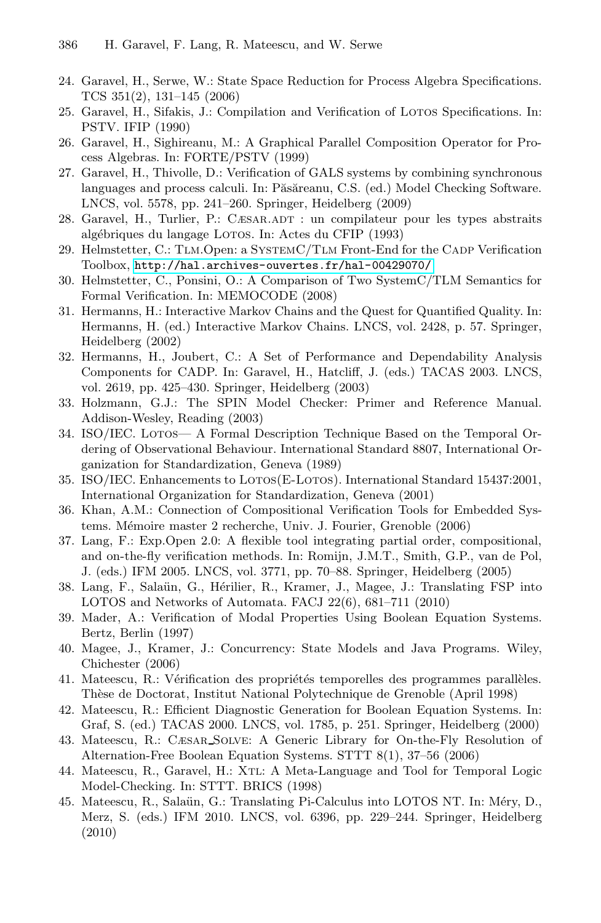- <span id="page-14-6"></span>24. Garavel, H., Serwe, W.: State Space Reduction for Process Algebra Specifications. TCS 351(2), 131–145 (2006)
- 25. Garavel, H., Sifakis, J.: Compilation and Verification of LOTOS Specifications. In: PSTV. IFIP (1990)
- [26.](http://hal.archives-ouvertes.fr/hal-00429070/) [Garavel,](http://hal.archives-ouvertes.fr/hal-00429070/) [H.,](http://hal.archives-ouvertes.fr/hal-00429070/) [Sighireanu,](http://hal.archives-ouvertes.fr/hal-00429070/) [M.:](http://hal.archives-ouvertes.fr/hal-00429070/) [A](http://hal.archives-ouvertes.fr/hal-00429070/) [Graphical](http://hal.archives-ouvertes.fr/hal-00429070/) Parallel Composition Operator for Process Algebras. In: FORTE/PSTV (1999)
- 27. Garavel, H., Thivolle, D.: Verification of GALS systems by combining synchronous languages and process calculi. In: Păsăreanu, C.S. (ed.) Model Checking Software. LNCS, vol. 5578, pp. 241–260. Springer, Heidelberg (2009)
- 28. Garavel, H., Turlier, P.: CÆSAR.ADT : un compilateur pour les types abstraits algébriques du langage LOTOS. In: Actes du CFIP (1993)
- <span id="page-14-0"></span>29. Helmstetter, C.: TLM.Open: a SYSTEMC/TLM Front-End for the CADP Verification Toolbox, http://hal.archives-ouvertes.fr/hal-00429070/
- 30. Helmstetter, C., Ponsini, O.: A Comparison of Two SystemC/TLM Semantics for Formal Verification. In: MEMOCODE (2008)
- 31. Hermanns, H.: Interactive Markov Chains and the Quest for Quantified Quality. In: Hermanns, H. (ed.) Interactive Markov Chains. LNCS, vol. 2428, p. 57. Springer, Heidelberg (2002)
- <span id="page-14-5"></span>32. Hermanns, H., Joubert, C.: A Set of Performance and Dependability Analysis Components for CADP. In: Garavel, H., Hatcliff, J. (eds.) TACAS 2003. LNCS, vol. 2619, pp. 425–430. Springer, Heidelberg (2003)
- <span id="page-14-4"></span>33. Holzmann, G.J.: The SPIN Model Checker: Primer and Reference Manual. Addison-Wesley, Reading (2003)
- 34. ISO/IEC. Lotos— A Formal Description Technique Based on the Temporal Ordering of Observational Behaviour. International Standard 8807, International Organization for Standardization, Geneva (1989)
- <span id="page-14-1"></span>35. ISO/IEC. Enhancements to LOTOS(E-LOTOS). International Standard 15437:2001, International Organization for Standardization, Geneva (2001)
- 36. Khan, A.M.: Connection of Compositional Verification Tools for Embedded Systems. Mémoire master 2 recherche, Univ. J. Fourier, Grenoble (2006)
- <span id="page-14-3"></span>37. Lang, F.: Exp.Open 2.0: A flexible tool integrating partial order, compositional, and on-the-fly verification methods. In: Romijn, J.M.T., Smith, G.P., van de Pol, J. (eds.) IFM 2005. LNCS, vol. 3771, pp. 70–88. Springer, Heidelberg (2005)
- <span id="page-14-2"></span>38. Lang, F., Salaün, G., Hérilier, R., Kramer, J., Magee, J.: Translating FSP into LOTOS and Networks of Automata. FACJ 22(6), 681–711 (2010)
- 39. Mader, A.: Verification of Modal Properties Using Boolean Equation Systems. Bertz, Berlin (1997)
- 40. Magee, J., Kramer, J.: Concurrency: State Models and Java Programs. Wiley, Chichester (2006)
- 41. Mateescu, R.: Vérification des propriétés temporelles des programmes parallèles. Th`ese de Doctorat, Institut National Polytechnique de Grenoble (April 1998)
- 42. Mateescu, R.: Efficient Diagnostic Generation for Boolean Equation Systems. In: Graf, S. (ed.) TACAS 2000. LNCS, vol. 1785, p. 251. Springer, Heidelberg (2000)
- 43. Mateescu, R.: Cæsar Solve: A Generic Library for On-the-Fly Resolution of Alternation-Free Boolean Equation Systems. STTT 8(1), 37–56 (2006)
- 44. Mateescu, R., Garavel, H.: XTL: A Meta-Language and Tool for Temporal Logic Model-Checking. In: STTT. BRICS (1998)
- 45. Mateescu, R., Salaün, G.: Translating Pi-Calculus into LOTOS NT. In: Méry, D., Merz, S. (eds.) IFM 2010. LNCS, vol. 6396, pp. 229–244. Springer, Heidelberg (2010)